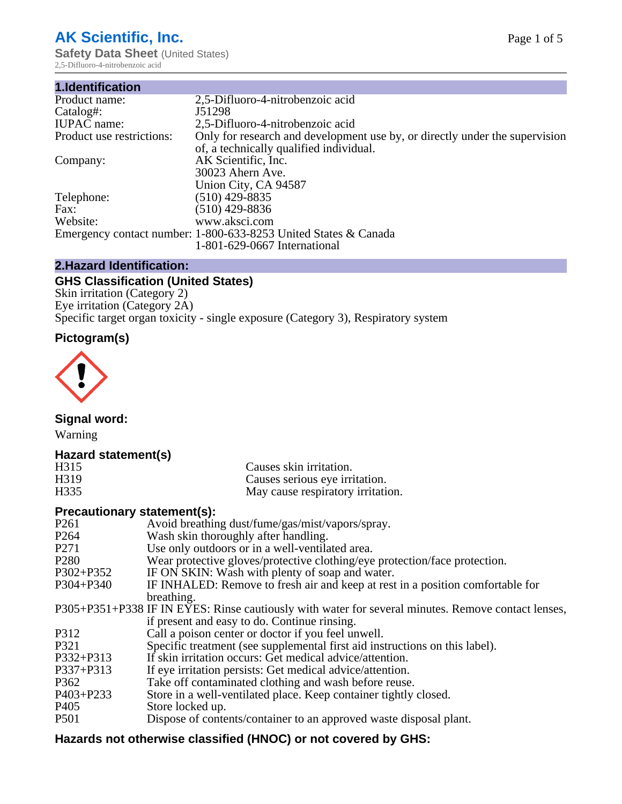# **AK Scientific, Inc.**

**Safety Data Sheet (United States)** 2,5-Difluoro-4-nitrobenzoic acid

| 1.Identification          |                                                                             |
|---------------------------|-----------------------------------------------------------------------------|
| Product name:             | 2,5-Difluoro-4-nitrobenzoic acid                                            |
| Catalog#:                 | J51298                                                                      |
| <b>IUPAC</b> name:        | 2,5-Difluoro-4-nitrobenzoic acid                                            |
| Product use restrictions: | Only for research and development use by, or directly under the supervision |
|                           | of, a technically qualified individual.                                     |
| Company:                  | AK Scientific, Inc.                                                         |
|                           | 30023 Ahern Ave.                                                            |
|                           | Union City, CA 94587                                                        |
| Telephone:                | $(510)$ 429-8835                                                            |
| Fax:                      | $(510)$ 429-8836                                                            |
| Website:                  | www.aksci.com                                                               |
|                           | Emergency contact number: 1-800-633-8253 United States & Canada             |
|                           | 1-801-629-0667 International                                                |

# **2.Hazard Identification:**

# **GHS Classification (United States)**

Skin irritation (Category 2) Eye irritation (Category 2A) Specific target organ toxicity - single exposure (Category 3), Respiratory system

# **Pictogram(s)**



**Signal word:**

Warning

# **Hazard statement(s)**

| H <sub>315</sub>  | Causes skin irritation.           |
|-------------------|-----------------------------------|
| H <sub>3</sub> 19 | Causes serious eye irritation.    |
| H335              | May cause respiratory irritation. |

# **Precautionary statement(s):**

| P <sub>261</sub> | Avoid breathing dust/fume/gas/mist/vapors/spray.                                                   |
|------------------|----------------------------------------------------------------------------------------------------|
| P <sub>264</sub> | Wash skin thoroughly after handling.                                                               |
| P <sub>271</sub> | Use only outdoors or in a well-ventilated area.                                                    |
| P <sub>280</sub> | Wear protective gloves/protective clothing/eye protection/face protection.                         |
| P302+P352        | IF ON SKIN: Wash with plenty of soap and water.                                                    |
| $P304 + P340$    | IF INHALED: Remove to fresh air and keep at rest in a position comfortable for                     |
|                  | breathing.                                                                                         |
|                  | P305+P351+P338 IF IN EYES: Rinse cautiously with water for several minutes. Remove contact lenses, |
|                  | if present and easy to do. Continue rinsing.                                                       |
| P312             | Call a poison center or doctor if you feel unwell.                                                 |
| P321             | Specific treatment (see supplemental first aid instructions on this label).                        |
| P332+P313        | If skin irritation occurs: Get medical advice/attention.                                           |
| P337+P313        | If eye irritation persists: Get medical advice/attention.                                          |
| P362             | Take off contaminated clothing and wash before reuse.                                              |
| $P403 + P233$    | Store in a well-ventilated place. Keep container tightly closed.                                   |
| P <sub>405</sub> | Store locked up.                                                                                   |
| P <sub>501</sub> | Dispose of contents/container to an approved waste disposal plant.                                 |
|                  |                                                                                                    |

# **Hazards not otherwise classified (HNOC) or not covered by GHS:**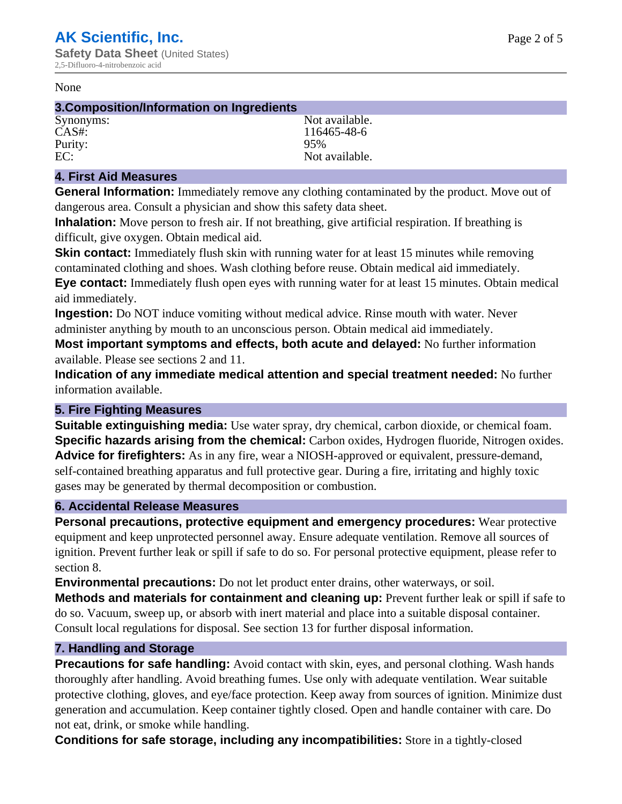#### None

## **3.Composition/Information on Ingredients**

Purity: 95%<br>EC: Not a

Synonyms: Not available. CAS#: 116465-48-6 Not available.

## **4. First Aid Measures**

**General Information:** Immediately remove any clothing contaminated by the product. Move out of dangerous area. Consult a physician and show this safety data sheet.

**Inhalation:** Move person to fresh air. If not breathing, give artificial respiration. If breathing is difficult, give oxygen. Obtain medical aid.

**Skin contact:** Immediately flush skin with running water for at least 15 minutes while removing contaminated clothing and shoes. Wash clothing before reuse. Obtain medical aid immediately. **Eye contact:** Immediately flush open eyes with running water for at least 15 minutes. Obtain medical aid immediately.

**Ingestion:** Do NOT induce vomiting without medical advice. Rinse mouth with water. Never administer anything by mouth to an unconscious person. Obtain medical aid immediately.

**Most important symptoms and effects, both acute and delayed:** No further information available. Please see sections 2 and 11.

**Indication of any immediate medical attention and special treatment needed:** No further information available.

## **5. Fire Fighting Measures**

**Suitable extinguishing media:** Use water spray, dry chemical, carbon dioxide, or chemical foam. **Specific hazards arising from the chemical:** Carbon oxides, Hydrogen fluoride, Nitrogen oxides. **Advice for firefighters:** As in any fire, wear a NIOSH-approved or equivalent, pressure-demand, self-contained breathing apparatus and full protective gear. During a fire, irritating and highly toxic gases may be generated by thermal decomposition or combustion.

## **6. Accidental Release Measures**

**Personal precautions, protective equipment and emergency procedures:** Wear protective equipment and keep unprotected personnel away. Ensure adequate ventilation. Remove all sources of ignition. Prevent further leak or spill if safe to do so. For personal protective equipment, please refer to section 8.

**Environmental precautions:** Do not let product enter drains, other waterways, or soil.

**Methods and materials for containment and cleaning up:** Prevent further leak or spill if safe to do so. Vacuum, sweep up, or absorb with inert material and place into a suitable disposal container. Consult local regulations for disposal. See section 13 for further disposal information.

## **7. Handling and Storage**

**Precautions for safe handling:** Avoid contact with skin, eyes, and personal clothing. Wash hands thoroughly after handling. Avoid breathing fumes. Use only with adequate ventilation. Wear suitable protective clothing, gloves, and eye/face protection. Keep away from sources of ignition. Minimize dust generation and accumulation. Keep container tightly closed. Open and handle container with care. Do not eat, drink, or smoke while handling.

**Conditions for safe storage, including any incompatibilities:** Store in a tightly-closed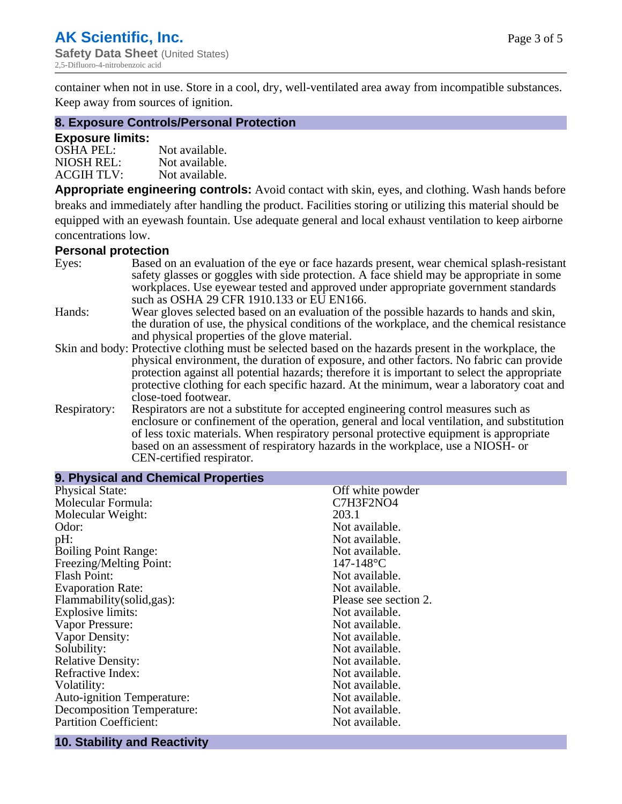container when not in use. Store in a cool, dry, well-ventilated area away from incompatible substances. Keep away from sources of ignition.

## **8. Exposure Controls/Personal Protection**

## **Exposure limits:**

| <b>OSHA PEL:</b>  | Not available. |
|-------------------|----------------|
| NIOSH REL:        | Not available. |
| <b>ACGIH TLV:</b> | Not available. |

**Appropriate engineering controls:** Avoid contact with skin, eyes, and clothing. Wash hands before breaks and immediately after handling the product. Facilities storing or utilizing this material should be equipped with an eyewash fountain. Use adequate general and local exhaust ventilation to keep airborne concentrations low.

#### **Personal protection**

| Eyes:        | Based on an evaluation of the eye or face hazards present, wear chemical splash-resistant<br>safety glasses or goggles with side protection. A face shield may be appropriate in some |  |  |
|--------------|---------------------------------------------------------------------------------------------------------------------------------------------------------------------------------------|--|--|
|              | workplaces. Use eyewear tested and approved under appropriate government standards<br>such as OSHA 29 CFR 1910.133 or EU EN166.                                                       |  |  |
| Hands:       | Wear gloves selected based on an evaluation of the possible hazards to hands and skin,                                                                                                |  |  |
|              | the duration of use, the physical conditions of the workplace, and the chemical resistance                                                                                            |  |  |
|              | and physical properties of the glove material.                                                                                                                                        |  |  |
|              | Skin and body: Protective clothing must be selected based on the hazards present in the workplace, the                                                                                |  |  |
|              | physical environment, the duration of exposure, and other factors. No fabric can provide                                                                                              |  |  |
|              | protection against all potential hazards; therefore it is important to select the appropriate                                                                                         |  |  |
|              | protective clothing for each specific hazard. At the minimum, wear a laboratory coat and                                                                                              |  |  |
|              | close-toed footwear.                                                                                                                                                                  |  |  |
| Respiratory: | Respirators are not a substitute for accepted engineering control measures such as<br>enclosure or confinement of the operation, general and local ventilation, and substitution      |  |  |
|              | of less toxic materials. When respiratory personal protective equipment is appropriate                                                                                                |  |  |
|              |                                                                                                                                                                                       |  |  |
|              | based on an assessment of respiratory hazards in the workplace, use a NIOSH- or                                                                                                       |  |  |
|              | CEN-certified respirator.                                                                                                                                                             |  |  |

| 9. Physical and Chemical Properties |                       |  |  |
|-------------------------------------|-----------------------|--|--|
| <b>Physical State:</b>              | Off white powder      |  |  |
| Molecular Formula:                  | C7H3F2NO4             |  |  |
| Molecular Weight:                   | 203.1                 |  |  |
| Odor:                               | Not available.        |  |  |
| pH:                                 | Not available.        |  |  |
| <b>Boiling Point Range:</b>         | Not available.        |  |  |
| Freezing/Melting Point:             | $147 - 148$ °C        |  |  |
| <b>Flash Point:</b>                 | Not available.        |  |  |
| <b>Evaporation Rate:</b>            | Not available.        |  |  |
| Flammability(solid,gas):            | Please see section 2. |  |  |
| <b>Explosive limits:</b>            | Not available.        |  |  |
| Vapor Pressure:                     | Not available.        |  |  |
| Vapor Density:                      | Not available.        |  |  |
| Solubility:                         | Not available.        |  |  |
| <b>Relative Density:</b>            | Not available.        |  |  |
| Refractive Index:                   | Not available.        |  |  |
| Volatility:                         | Not available.        |  |  |
| <b>Auto-ignition Temperature:</b>   | Not available.        |  |  |
| <b>Decomposition Temperature:</b>   | Not available.        |  |  |
| <b>Partition Coefficient:</b>       | Not available.        |  |  |

# **10. Stability and Reactivity**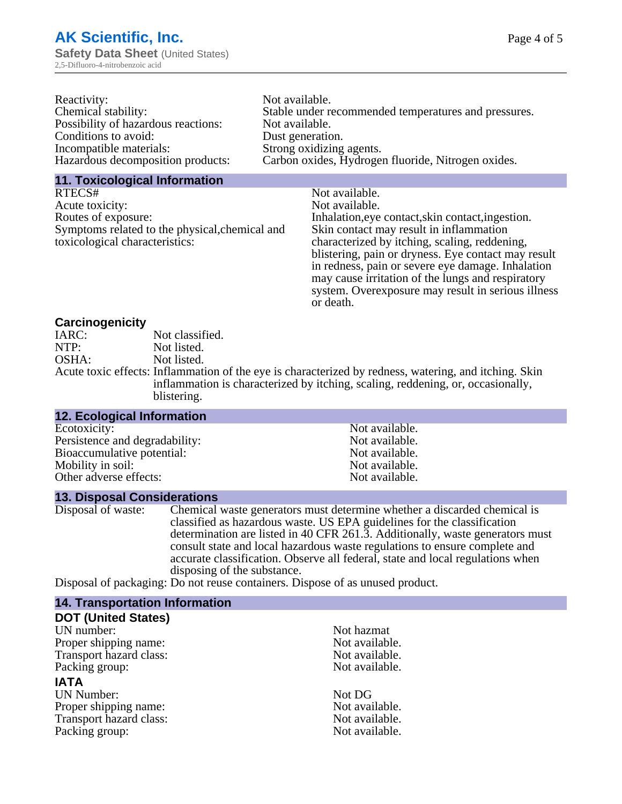| Not available.                                       |
|------------------------------------------------------|
| Stable under recommended temperatures and pressures. |
| Not available.                                       |
| Dust generation.                                     |
| Strong oxidizing agents.                             |
| Carbon oxides, Hydrogen fluoride, Nitrogen oxides.   |
|                                                      |

## **11. Toxicological Information**

| RTECS#                                         | Not available.                                      |
|------------------------------------------------|-----------------------------------------------------|
| Acute toxicity:                                | Not available.                                      |
| Routes of exposure:                            | Inhalation, eye contact, skin contact, ingestion.   |
| Symptoms related to the physical, chemical and | Skin contact may result in inflammation             |
| toxicological characteristics:                 | characterized by itching, scaling, reddening,       |
|                                                | blistering, pain or dryness. Eye contact may result |
|                                                | in redness, pain or severe eye damage. Inhalation   |
|                                                | may cause irritation of the lungs and respiratory   |
|                                                | system. Overexposure may result in serious illness  |

or death.

## **Carcinogenicity**

| IARC: | Not classified.                                                                                       |
|-------|-------------------------------------------------------------------------------------------------------|
| NTP:  | Not listed.                                                                                           |
| OSHA: | Not listed.                                                                                           |
|       | Acute toxic effects: Inflammation of the eye is characterized by redness, watering, and itching. Skin |
|       | inflammation is characterized by itching, scaling, reddening, or, occasionally,                       |
|       | blistering.                                                                                           |

| <b>12. Ecological Information</b> |                |
|-----------------------------------|----------------|
| Ecotoxicity:                      | Not available. |
| Persistence and degradability:    | Not available. |
| Bioaccumulative potential:        | Not available. |
| Mobility in soil:                 | Not available. |
| Other adverse effects:            | Not available. |

## **13. Disposal Considerations**

Disposal of waste: Chemical waste generators must determine whether a discarded chemical is classified as hazardous waste. US EPA guidelines for the classification determination are listed in 40 CFR 261.3. Additionally, waste generators must consult state and local hazardous waste regulations to ensure complete and accurate classification. Observe all federal, state and local regulations when disposing of the substance.

Disposal of packaging: Do not reuse containers. Dispose of as unused product.

| <b>14. Transportation Information</b> |                |
|---------------------------------------|----------------|
| <b>DOT (United States)</b>            |                |
| UN number:                            | Not hazmat     |
| Proper shipping name:                 | Not available. |
| Transport hazard class:               | Not available. |
| Packing group:                        | Not available. |
| <b>IATA</b>                           |                |
| <b>UN Number:</b>                     | Not DG         |
| Proper shipping name:                 | Not available. |
| Transport hazard class:               | Not available. |
| Packing group:                        | Not available. |